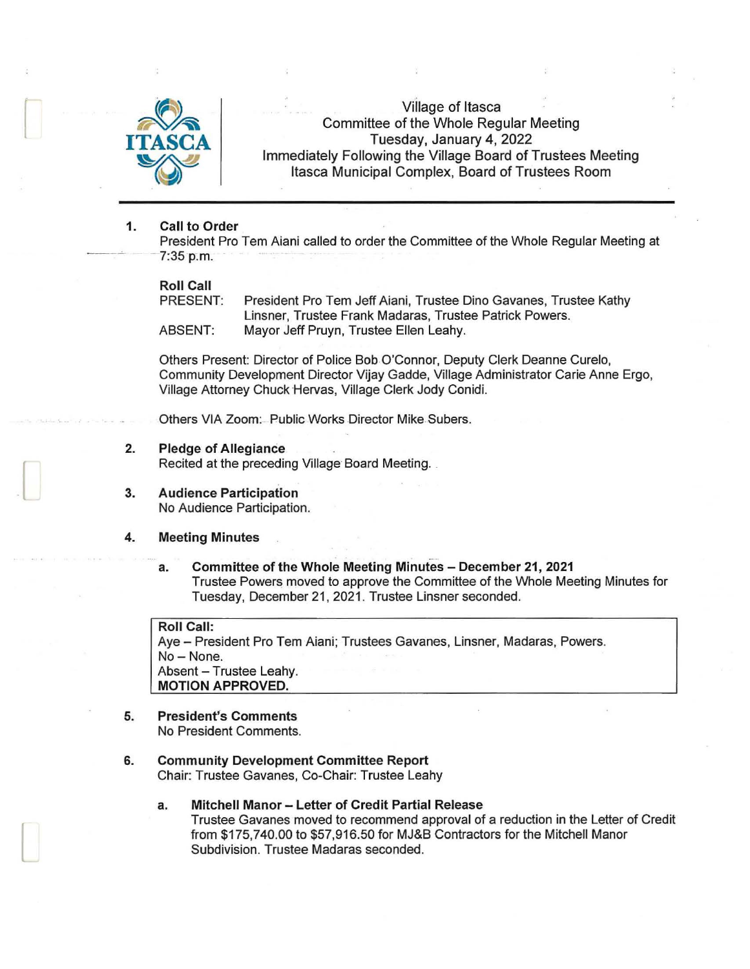

Village of Itasca Committee of the Whole Regular Meeting Tuesday, January 4, 2022 Immediately Following the Village Board of Trustees Meeting Itasca Municipal Complex, Board of Trustees Room

#### 1. Call to Order

President Pro Tern Aiani called to order the Committee of the Whole Regular Meeting at *- 1:35* p.m. ·

# Roll Call<br>PRESENT:

President Pro Tem Jeff Aiani, Trustee Dino Gavanes, Trustee Kathy Linsner, Trustee Frank Madaras, Trustee Patrick Powers. ABSENT: Mayor Jeff Pruyn, Trustee Ellen Leahy.

Others Present: Director of Police Bob.O'Connor, Deputy Clerk Deanne Curelo, Community Development Director Vijay Gadde, Village Administrator Carie Anne Ergo, Village Attorney Chuck Hervas, Village Clerk Jody Conidi.

Others VIA Zoom: Public Works Director Mike Subers.

- 2. Pledge of Allegiance Recited at the preceding Village Board Meeting.
- 3. Audience Participation No Audience Participation.

#### 4. Meeting Minutes

 $\mathbb{L}$ 

 $\Box$ 

a. Committee of the Whole Meeting Minutes - December 21, 2021 Trustee Powers moved to approve the Committee of the Whole Meeting Minutes for Tuesday, December 21, 2021 . Trustee Linsner seconded.

### Roll Call:

Aye - President Pro Tem Aiani; Trustees Gavanes, Linsner, Madaras, Powers. No - None. Absent - Trustee Leahy. MOTION APPROVED.

- 5. President's Comments No President Comments.
- 6. Community Development Committee Report
	- Chair: Trustee Gavanes, Co-Chair: Trustee Leahy
	- a. Mitchell Manor Letter of Credit Partial Release Trustee Gavanes moved to recommend approval of a reduction in the Letter of Credit from \$175,740.00 to \$57,916.50 for MJ&B Contractors for the Mitchell Manor Subdivision. Trustee Madaras seconded.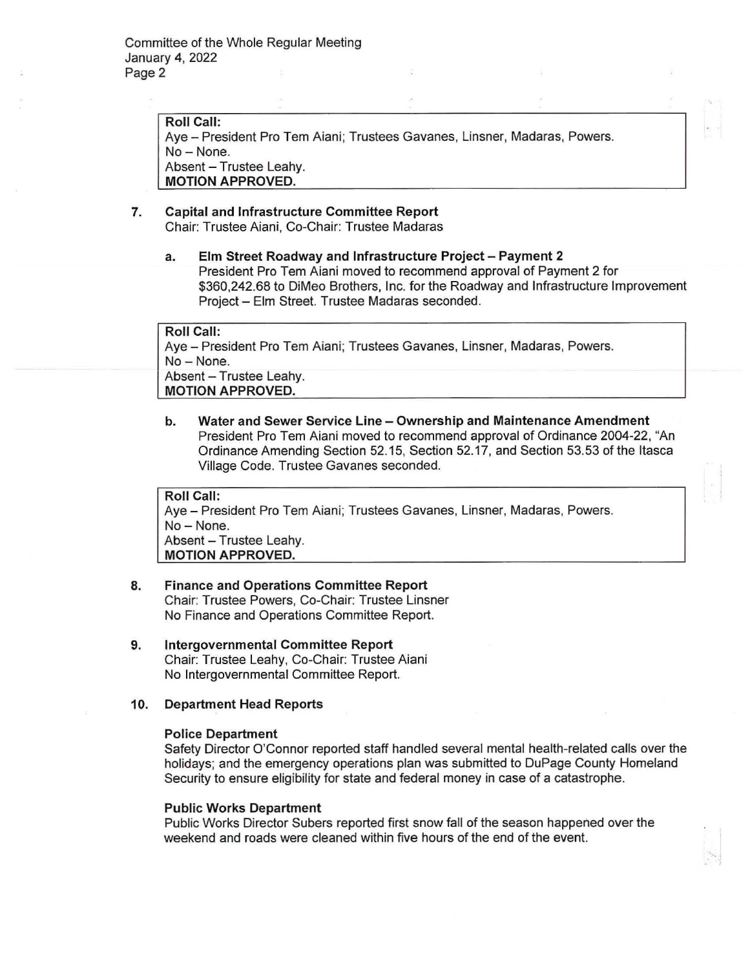**Roll Call:**  Aye - President Pro Tem Aiani; Trustees Gavanes, Linsner, Madaras, Powers. No-None. Absent - Trustee Leahy. **MOTION APPROVED.** 

#### **7. Capital and Infrastructure Committee Report**  Chair: Trustee Aiani, Co-Chair: Trustee Madaras

## **a. Elm Street Roadway and Infrastructure Project - Payment 2**  President Pro Tern Aiani moved to recommend approval of Payment 2 for \$360,242.68 to DiMeo Brothers, Inc. for the Roadway and Infrastructure Improvement Project- Elm Street. Trustee Madaras seconded.

**Roll Call:**  Aye - President Pro Tem Aiani; Trustees Gavanes, Linsner, Madaras, Powers. No- None. Absent - Trustee Leahy. **MOTION APPROVED.** 

**b. Water and Sewer Service Line - Ownership and Maintenance Amendment**  President Pro Tern Aiani moved to recommend approval of Ordinance 2004-22, "An Ordinance Amending Section 52.15, Section 52.17, and Section 53.53 of the Itasca Village Code. Trustee Gavanes seconded.

**Roll Call:**  Aye - President Pro Tem Aiani; Trustees Gavanes, Linsner, Madaras, Powers. No-None. Absent - Trustee Leahy. **MOTION APPROVED.** 

## **8. Finance and Operations Committee Report**  Chair: Trustee Powers, Co-Chair: Trustee Linsner No Finance and Operations Committee Report.

- **9. Intergovernmental Committee Report**  Chair: Trustee Leahy, Co-Chair: Trustee Aiani No Intergovernmental Committee Report.
- **10. Department Head Reports**

#### **Police Department**

Safety Director O'Connor reported staff handled several mental health-related calls over the holidays; and the emergency operations plan was submitted to DuPage County Homeland Security to ensure eligibility for state and federal money in case of a catastrophe.

#### **Public Works Department**

Public Works Director Subers reported first snow fall of the season happened over the weekend and roads were cleaned within five hours of the end of the event.